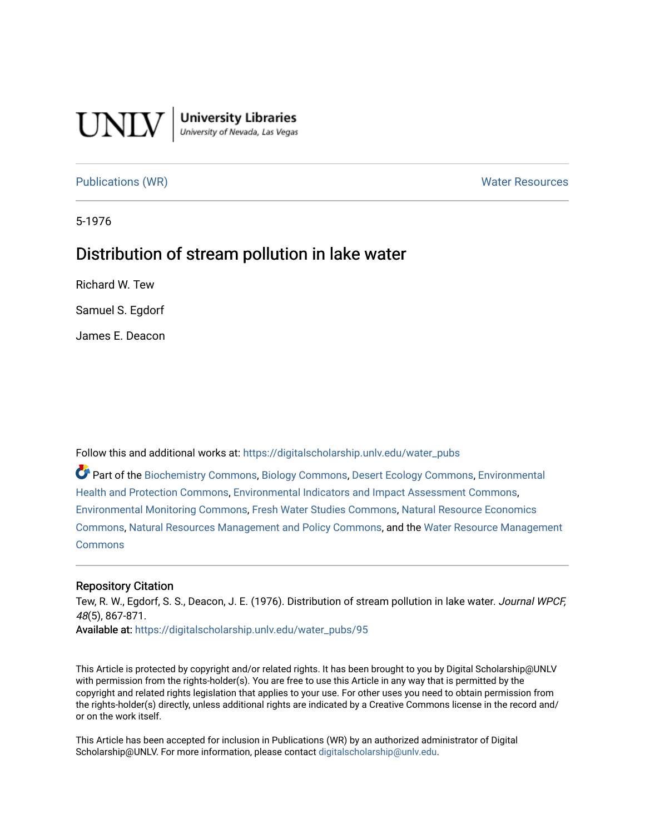

**University Libraries**<br>University of Nevada, Las Vegas

## [Publications \(WR\)](https://digitalscholarship.unlv.edu/water_pubs) Notifiable Resources and Mater Resources and Mater Resources

5-1976

# Distribution of stream pollution in lake water

Richard W. Tew

Samuel S. Egdorf

James E. Deacon

Follow this and additional works at: [https://digitalscholarship.unlv.edu/water\\_pubs](https://digitalscholarship.unlv.edu/water_pubs?utm_source=digitalscholarship.unlv.edu%2Fwater_pubs%2F95&utm_medium=PDF&utm_campaign=PDFCoverPages) 

Part of the [Biochemistry Commons](http://network.bepress.com/hgg/discipline/2?utm_source=digitalscholarship.unlv.edu%2Fwater_pubs%2F95&utm_medium=PDF&utm_campaign=PDFCoverPages), [Biology Commons,](http://network.bepress.com/hgg/discipline/41?utm_source=digitalscholarship.unlv.edu%2Fwater_pubs%2F95&utm_medium=PDF&utm_campaign=PDFCoverPages) [Desert Ecology Commons,](http://network.bepress.com/hgg/discipline/1261?utm_source=digitalscholarship.unlv.edu%2Fwater_pubs%2F95&utm_medium=PDF&utm_campaign=PDFCoverPages) [Environmental](http://network.bepress.com/hgg/discipline/172?utm_source=digitalscholarship.unlv.edu%2Fwater_pubs%2F95&utm_medium=PDF&utm_campaign=PDFCoverPages)  [Health and Protection Commons](http://network.bepress.com/hgg/discipline/172?utm_source=digitalscholarship.unlv.edu%2Fwater_pubs%2F95&utm_medium=PDF&utm_campaign=PDFCoverPages), [Environmental Indicators and Impact Assessment Commons](http://network.bepress.com/hgg/discipline/1015?utm_source=digitalscholarship.unlv.edu%2Fwater_pubs%2F95&utm_medium=PDF&utm_campaign=PDFCoverPages), [Environmental Monitoring Commons,](http://network.bepress.com/hgg/discipline/931?utm_source=digitalscholarship.unlv.edu%2Fwater_pubs%2F95&utm_medium=PDF&utm_campaign=PDFCoverPages) [Fresh Water Studies Commons,](http://network.bepress.com/hgg/discipline/189?utm_source=digitalscholarship.unlv.edu%2Fwater_pubs%2F95&utm_medium=PDF&utm_campaign=PDFCoverPages) [Natural Resource Economics](http://network.bepress.com/hgg/discipline/169?utm_source=digitalscholarship.unlv.edu%2Fwater_pubs%2F95&utm_medium=PDF&utm_campaign=PDFCoverPages)  [Commons](http://network.bepress.com/hgg/discipline/169?utm_source=digitalscholarship.unlv.edu%2Fwater_pubs%2F95&utm_medium=PDF&utm_campaign=PDFCoverPages), [Natural Resources Management and Policy Commons,](http://network.bepress.com/hgg/discipline/170?utm_source=digitalscholarship.unlv.edu%2Fwater_pubs%2F95&utm_medium=PDF&utm_campaign=PDFCoverPages) and the [Water Resource Management](http://network.bepress.com/hgg/discipline/1057?utm_source=digitalscholarship.unlv.edu%2Fwater_pubs%2F95&utm_medium=PDF&utm_campaign=PDFCoverPages) **[Commons](http://network.bepress.com/hgg/discipline/1057?utm_source=digitalscholarship.unlv.edu%2Fwater_pubs%2F95&utm_medium=PDF&utm_campaign=PDFCoverPages)** 

### Repository Citation

Tew, R. W., Egdorf, S. S., Deacon, J. E. (1976). Distribution of stream pollution in lake water. Journal WPCF, 48(5), 867-871.

Available at: [https://digitalscholarship.unlv.edu/water\\_pubs/95](https://digitalscholarship.unlv.edu/water_pubs/95) 

This Article is protected by copyright and/or related rights. It has been brought to you by Digital Scholarship@UNLV with permission from the rights-holder(s). You are free to use this Article in any way that is permitted by the copyright and related rights legislation that applies to your use. For other uses you need to obtain permission from the rights-holder(s) directly, unless additional rights are indicated by a Creative Commons license in the record and/ or on the work itself.

This Article has been accepted for inclusion in Publications (WR) by an authorized administrator of Digital Scholarship@UNLV. For more information, please contact [digitalscholarship@unlv.edu.](mailto:digitalscholarship@unlv.edu)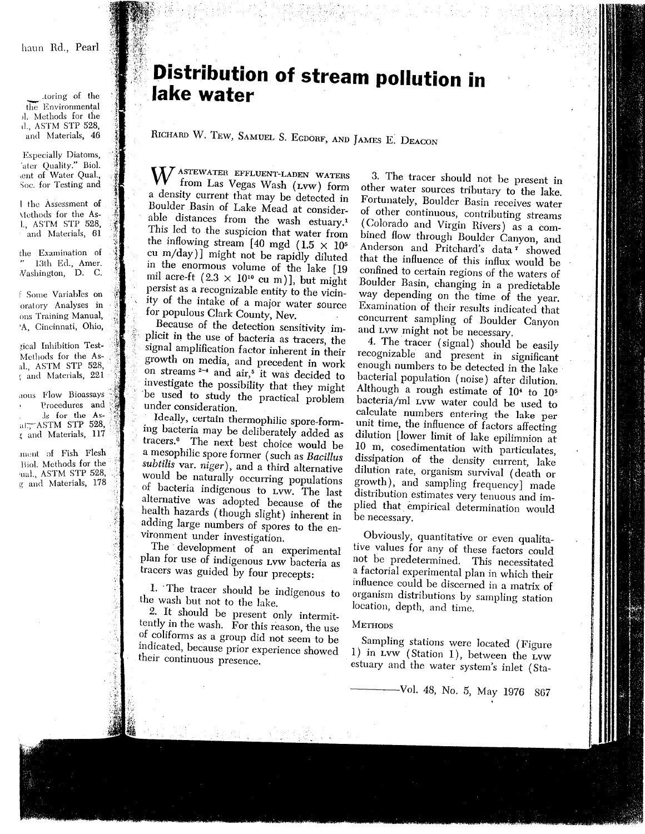haun Rd., Pearl

toring of the the Environmental ol. Methods for the d., ASTM STP 528, and Materials, 46

**Especially Diatoms,** 'ater Quality." Biol. aent of Water Qual., Soc. for Testing and

1 the Assessment of Methods for the Asl., ASTM STP 528, and Materials, 61

the Examination of 13th Ed., Amer. Vashington, D. C.

f Some Variables on oratory Analyses in ons Training Manual, 'A. Cincinnati, Ohio,

zical Inhibition Test-Methods for the Asal., ASTM STP 528. ; and Materials, 221

aous Flow Bioassays Procedures and Is for the Asal: ASTM STP 528, *z* and Materials, 117

ment of Fish Flesh Biol. Methods for the ual., ASTM STP 528, g and Materials, 178

# **Distribution of stream pollution in** lake water

RICHARD W. TEW, SAMUEL S. EGDORF, AND JAMES E. DEACON

W ASTEWATER EFFLUENT-LADEN WATERS from Las Vegas Wash (Lvw) form a density current that may be detected in Boulder Basin of Lake Mead at considerable distances from the wash estuary.<sup>1</sup> This led to the suspicion that water from the inflowing stream [40 mgd (1.5  $\times$  10<sup>5</sup> cu m/day)] might not be rapidly diluted in the enormous volume of the lake [19 mil acre-ft  $(2.3 \times 10^{10} \text{ cu m})$ ], but might persist as a recognizable entity to the vicinity of the intake of a major water source for populous Clark County, Nev.

Because of the detection sensitivity implicit in the use of bacteria as tracers, the signal amplification factor inherent in their growth on media, and precedent in work on streams  $2-4$  and air,<sup>5</sup> it was decided to investigate the possibility that they might be used to study the practical problem under consideration.

Ideally, certain thermophilic spore-forming bacteria may be deliberately added as tracers.<sup>6</sup> The next best choice would be a mesophilic spore former (such as Bacillus subtilis var. niger), and a third alternative would be naturally occurring populations of bacteria indigenous to LVW. The last alternative was adopted because of the health hazards (though slight) inherent in adding large numbers of spores to the environment under investigation.

The development of an experimental plan for use of indigenous Lvw bacteria as tracers was guided by four precepts:

1. The tracer should be indigenous to the wash but not to the lake.

2. It should be present only intermittently in the wash. For this reason, the use of coliforms as a group did not seem to be indicated, because prior experience showed their continuous presence.

3. The tracer should not be present in other water sources tributary to the lake. Fortunately, Boulder Basin receives water of other continuous, contributing streams (Colorado and Virgin Rivers) as a combined flow through Boulder Canyon, and Anderson and Pritchard's data<sup>7</sup> showed that the influence of this influx would be confined to certain regions of the waters of Boulder Basin, changing in a predictable way depending on the time of the year. Examination of their results indicated that concurrent sampling of Boulder Canyon and Lyw might not be necessary.

4. The tracer (signal) should be easily recognizable and present in significant enough numbers to be detected in the lake bacterial population (noise) after dilution. Although a rough estimate of 10<sup>4</sup> to 10<sup>5</sup> bacteria/ml Lvw water could be used to calculate numbers entering the lake per unit time, the influence of factors affecting dilution [lower limit of lake epilimnion at 10 m, cosedimentation with particulates, dissipation of the density current, lake dilution rate, organism survival (death or growth), and sampling frequency] made distribution estimates very tenuous and implied that empirical determination would be necessary.

Obviously, quantitative or even qualitative values for any of these factors could not be predetermined. This necessitated a factorial experimental plan in which their influence could be discerned in a matrix of organism distributions by sampling station location, depth, and time.

### **METHODS**

Sampling stations were located (Figure 1) in Lvw (Station 1), between the Lvw estuary and the water system's inlet (Sta-

-Vol. 48, No. 5, May 1976 867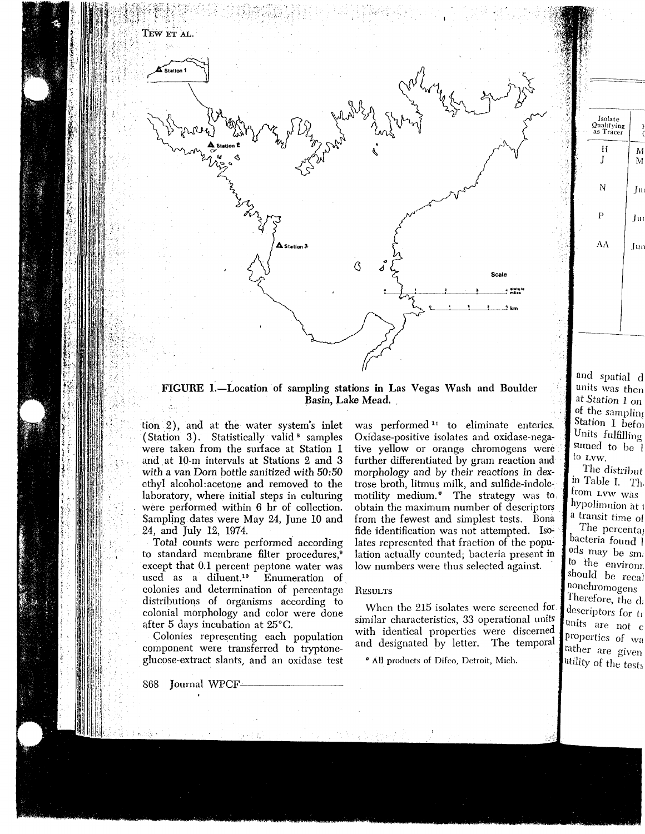

FIGURE 1.—Location of sampling stations in Las Vegas Wash and Boulder Basin, Lake Mead.

tion 2), and at the water system's inlet (Station 3). Statistically valid<sup>8</sup> samples were taken from the surface at Station 1 and.at 10-m intervals at Stations 2 and 3 with a van Dorn bottle sanitized with 50:50 ethyl alcohol:acetone and removed to the laboratory, where initial steps in culturing were performed within 6 hr of collection. Sampling dates were May 24, June 10 and 24, and July 12, 1974.

Total counts were performed according to standard membrane filter procedures,<sup>6</sup> except that 0.1 percent peptone water was used as a diluent.10 Enumeration of colonies and determination of percentage distributions of organisms according to colonial morphology and color were done after 5 days incubation at 25°C.

Colonies representing each population component were transferred to tryptone glucose-extract slants, and an oxidase test

ion 2), and at the water system's inlet was performed<sup>11</sup> to eliminate enteries.<br>
(Station 3). Statioically valid<sup>8</sup> samples Oxidas-positive isolates and oxidas-negative enteries.<br>
(Station 3). Stational tive yellow or or

and spatial d units was then at .Station 1 on of the sampling Station 1 befoj Units fulfilling sumed to be 1 to LVW.

Isolate Qualifyin as Tra

H J

N

 $\mathbf{P}$ 

M M

J»

Tur

Jun

AA

The distribut in Table I. Th, from LVW was hypolimnion at 1 a transit time of

The percentas bacteria found 1 ods may be sm; to the envirom, should be recal lonchromogens Therefore, the d; descriptors for tr units are not c properties of wa rather are given utility of the tests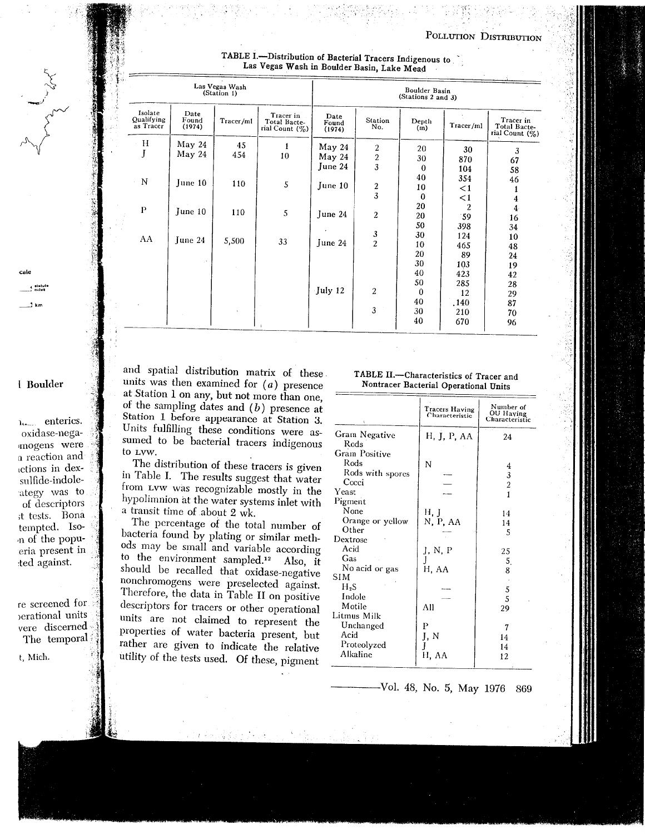POLLUTIO N DISTKIBUTIO N

| TABLE I.-Distribution of Bacterial Tracers Indigenous to |  |  |
|----------------------------------------------------------|--|--|
|                                                          |  |  |
|                                                          |  |  |
| Las Vegas Wash in Boulder Basin, Lake Mead               |  |  |

| 21 | Las Vegas Wash<br>(Station 1)      |                         |           |                                                | Boulder Basin<br>(Stations 2 and 3) |                                   |                      |                             |                                                |
|----|------------------------------------|-------------------------|-----------|------------------------------------------------|-------------------------------------|-----------------------------------|----------------------|-----------------------------|------------------------------------------------|
|    | Isolate<br>Qualifying<br>as Tracer | Date<br>Found<br>(1974) | Tracer/ml | Tracer in<br>Total Bacte-<br>rial Count $(\%)$ | Date<br>Found<br>(1974)             | Station<br>No.                    | Depth<br>(m)         | Tracer/ml                   | Tracer in<br>Total Bacte-<br>rial Count $(\%)$ |
|    | H<br>J                             | May 24<br>May 24        | 45<br>454 | 1<br>10                                        | May 24<br>May 24<br>June 24         | $\boldsymbol{2}$<br>$\frac{2}{3}$ | 20<br>30<br>$\bf{0}$ | 30<br>870<br>104            | 3<br>67<br>58                                  |
|    | N                                  | June 10                 | 110       | 5                                              | June 10                             | $\frac{2}{3}$                     | 40<br>10<br>$\bf{0}$ | 354<br>$\leq$ 1<br>$\leq$ 1 | 46<br>4                                        |
|    | $\mathbf{P}$                       | June 10                 | 110       | 5                                              | June 24                             | $\overline{c}$                    | 20<br>20             | $\overline{2}$<br>59        | $\overline{4}$<br>16                           |
|    | AA                                 | June 24                 | 5,500     | 33                                             | June 24                             | $\frac{3}{2}$                     | 50<br>30<br>10<br>20 | 398<br>124<br>465           | 34<br>10<br>48                                 |
|    |                                    |                         |           |                                                |                                     |                                   | 30<br>40<br>50       | 89<br>103<br>423<br>285     | 24<br>19<br>42                                 |
|    |                                    |                         |           |                                                | July 12                             | $\overline{2}$                    | $\bf{0}$<br>40       | 12<br>.140                  | 28<br>29<br>87                                 |
|    |                                    |                         |           |                                                |                                     | 3                                 | 30<br>40             | 210<br>670                  | 70<br>96                                       |

**I Boulder**

3 krr

cale a statut<br>Limiles

A Call Call A

u. enterics. oxidase-nega imogens were a reactio n an d n de *n* de sulfide-indole ategy was t of descriptors ;t tests. Bona tempted. Iso- .n of the popu eria present i :ted against.

re screened fo )erational units vere discerne d The temporal

t, Mich.

and spatial distribution matrix of the units was then examined for  $(a)$  presence at Station  $\overline{a}$  on any but not more than one of the sampling dates and  $(h)$  presence Station 1 before appearance of Station Units fulfilling these conditions were as sumed to be bacterial tracers indigenous to LVW.

The distribution of these tracers is give in Table I. The results suggest that water from LVW was recognizable mostly in the hypolimnion at the water systems inlet with a transit time of about 2 wk.

The percentage of the total number of bacteria found by plating or similar meth ods may be small and variable according to the environment sampled.12 Also, it should be recalled that oxidase negative nonchromogens were preselected against Therefore, the data in Table II on positive descriptors for tracers or other operational units are not claimed to represent the properties of water bacteria present, but rather are given to indicate the relative utility of the tests used. Of these pigment

# 1 ABLE 11.—Characteristics of Tracer

|                       | Tracers Having<br>Characteristic | Number of<br>OU Haying<br>Characteristic |
|-----------------------|----------------------------------|------------------------------------------|
| Gram Negative<br>Rods | H, J, P, AA                      | 24                                       |
| <b>Gram Positive</b>  |                                  |                                          |
| Rods                  | N                                | 4                                        |
| Rods with spores      |                                  | 3                                        |
| Cocci                 |                                  | $\overline{c}$                           |
| Yeast                 |                                  | $\mathbf{1}$                             |
| Pigment               |                                  |                                          |
| None                  | Н, Ј                             | 14                                       |
| Orange or yellow      | N, P, AA                         | 14                                       |
| Other                 |                                  | 5                                        |
| Dextrose              |                                  |                                          |
| Acid                  | J, N, P                          | 25                                       |
| Gas                   | J                                | 5.                                       |
| No acid or gas        | H, AA                            | 8                                        |
| <b>SIM</b>            |                                  |                                          |
| $H_2S$                |                                  | 5                                        |
| Indole                |                                  | 5                                        |
| Motile                | All                              | 29                                       |
| Litmus Milk           |                                  |                                          |
| Unchanged             | P                                | 7                                        |
| Acid                  | J, N                             | 14                                       |
| Proteolyzed           |                                  | 14                                       |
| Alkaline              | H, AA                            | 12                                       |
|                       |                                  |                                          |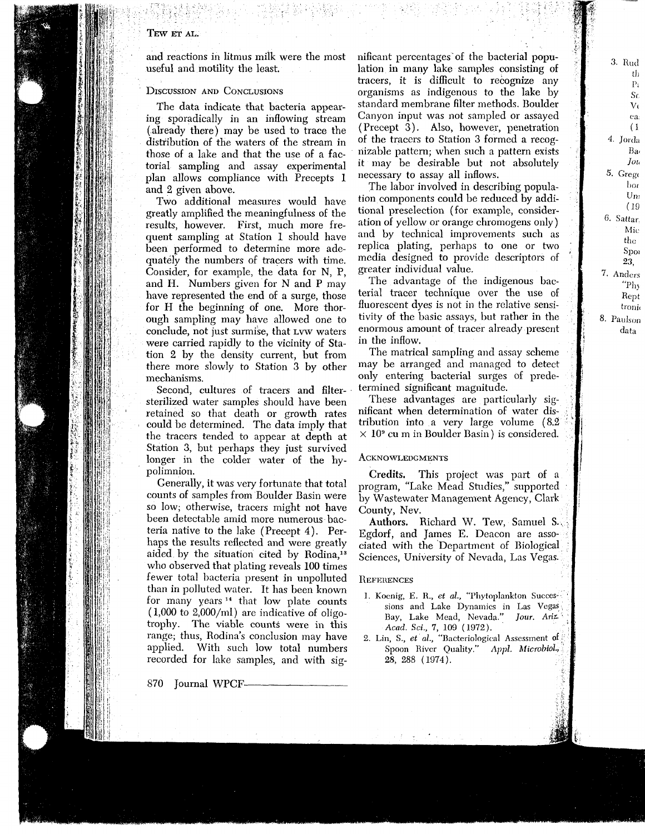### **TE W E T AL.**

an d reactions i n litmus mil k were the most useful an d motilit y the least.

#### DISCUSSION AND CONCLUSIONS

The dat a indicate that bacteria appear in g sporadicall y i n a n inflowing strea m (alread y there) ma y be use d t o trace the  $\mathbb{N}$  distribution of the waters of the stream in |]|| those of a lake an d that th e us e of a fac torial samplin g an d assa y experimental pla n allows compliance wit h Precepts 1 an d 2 give n above.

> Tw o additional measures woul d have greatl y amplifie d the meaningfulness of the results, however. First, muc h more fre quent samplin g at Statio n 1 shoul d have bee n performe d t o determine more ade quatel y the numbers of tracers wit h time. Consider, for example, the dat a for N, P, an d H. Numbers give n for N an d P ma y have represente d the en d of a surge, those for H the beginnin g of one. More thor oug h samplin g ma y have allowe d one t o conclude, not just surmise, that LV W waters were carrie d rapidl y t o the vicinit y of Sta tio n 2 b y the densit y current, but fro m there more slowl y t o Statio n 3 b y other mechanisms.

Second, cultures of tracers an d filter sterilize d water samples shoul d have bee n ' retaine d so that deat h or growt h rates coul d be determined. The data impl y that the tracers tende d t o appear at dept h at Statio n 3, but perhaps the y just survive d longer i n the colder water of the hy polimnion.

Generally, it was ver y fortunate that total counts of samples fro m Boulder Basi n were so low; otherwise, tracers might not have bee n detectable ami d more numerous bac teria native t o the lake (Precept 4). Per haps the results reflecte d an d were greatl y aide d b y the situatio n cite d b y Rodina,<sup>13</sup> wh o observe d that platin g reveals 10 0 times fewer total bacteria present i n unpollute d tha n i n pollute d water. It has bee n know n for man y years 14 that lo w plate counts (1,00 0 t o 2,000/ml) are indicative of oligo trophy. The viable counts were i n this range; thus, Rodina's conclusio n ma y have applied. Wit h such lo w total numbers recorde d for lake samples, an d wit

87 0 Journal WPCF-

most minicant percentages of the bacterial popu-<br>material population in many lake samples consisting of tracers, it is difficult to recognize any<br>opear-<br>standard membrane site index to recognize any standard membrane filt n i n man y lake samples consistin g of tracers, it is difficult t o recognize an y organisms as indigenous t o the lake b y standar d membrane filter methods. Boulder Canyo n input was not sample d or assaye d (Precept 3). Also, however, penetratio n of the tracers t o Statio n 3 forme d a recog nizable pattern; whe n suc h a patter n exists it ma y be desirable but not absolutel y necessar y t o assa y all inflows.

3. Rud  $t<sub>h</sub>$  $P_i$ **Sc**  $V(t)$ ea.  $(1)$ 4. Jorda Ba Jou 5. Grego bor  $Un<sub>1</sub>$  $(19)$ 6. Sattar. Mic the  $S_{\rm DOI}$ 23, 7. Anders "Phy Rept tronic 8. Paulson data

The labor involve d i n describin g popula tio n components coul d be reduce d b y addi tional preselectio n (for example, consider atio n of yello w or orange chromogens only) an d b y technical improvements suc h as replica plating, perhaps t o one or tw o media designe d t o provide descriptors of greater individual value.

The advantage of the indigenous bac terial tracer technique over the use of fluorescent dyes is not i n the relative sensi tivit y of the basic assays, but rather i n the enormous amount of tracer alread y present in the inflow.

The matrical samplin g an d assa y scheme ma y be arrange d an d manage d t o detect onl y enterin g bacterial surges of prede termine d significant magnitude.

These advantages are particularl y sig nificant whe n determinatio n of water dis tributio n int o a ver y large volume (8. 2  $\times$  10° cu m in Boulder Basin) is considered.

### **ACKNOWLEDGMENTS**

Credits. This project was part of a program, "Lake Mea d Studies," supporte d b y Wastewater Management Agency, Clar k County, Nev.

Authors. Richar d W. Tew, Samuel S., Egdorf, an d James E. Deaco n are asso ciate d wit h the Department of Biological Sciences, Universit y of Nevada, Las Vegas.

#### **REFERENCES**

- 1. Koenig, E. R., *et al.,* "Phytoplankton Succes- sions and Lake Dynamics in Las Vegas Bay, Lake Mead, Nevada." *Jour. Ariz Acad. Sci., 1,* 109 (1972).
- 2. Lin, S., *et al.,* "Bacteriological Assessment of Spoon River Quality." *Appl. Microbtol,* 28, 288 (1974).